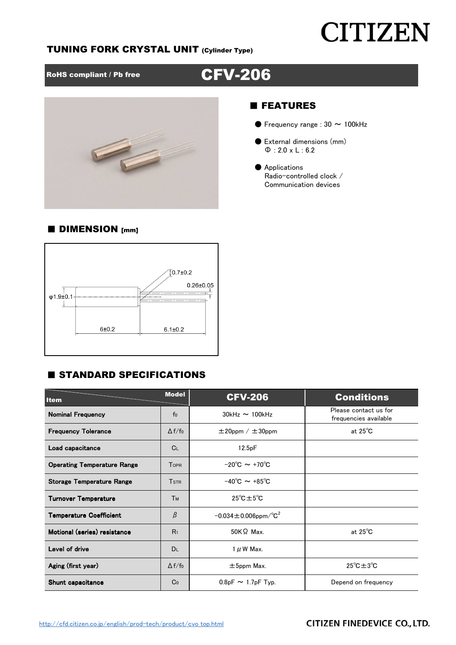# **CITIZEN**

# TUNING FORK CRYSTAL UNIT (Cylinder Type)

# RoHS compliant / Pb free **CFV-206**



# ■ FEATURES

- $\bullet$  Frequency range : 30  $\sim$  100kHz
- External dimensions (mm)  $Φ: 2.0 x L: 6.2$
- Applications Radio-controlled clock / Communication devices

## ■ DIMENSION [mm]



# **E STANDARD SPECIFICATIONS**

| <b>Item</b>                        | <b>Model</b>            | <b>CFV-206</b>                         | <b>Conditions</b>                              |  |  |
|------------------------------------|-------------------------|----------------------------------------|------------------------------------------------|--|--|
| <b>Nominal Frequency</b>           | f <sub>0</sub>          | $30kHz \sim 100kHz$                    | Please contact us for<br>frequencies available |  |  |
| <b>Frequency Tolerance</b>         | $\Delta f/f_0$          | $\pm 20$ ppm / $\pm 30$ ppm            | at $25^{\circ}$ C                              |  |  |
| Load capacitance                   | $C_{L}$                 | 12.5pF                                 |                                                |  |  |
| <b>Operating Temperature Range</b> | <b>TOPR</b>             | $-20^{\circ}$ C $\sim +70^{\circ}$ C   |                                                |  |  |
| <b>Storage Temperature Range</b>   | <b>T</b> <sub>STR</sub> | $-40^{\circ}$ C $\sim +85^{\circ}$ C   |                                                |  |  |
| <b>Turnover Temperature</b>        | <b>Тм</b>               | $25^{\circ}$ C $\pm 5^{\circ}$ C       |                                                |  |  |
| <b>Temperature Coefficient</b>     | β                       | $-0.034 \pm 0.006$ ppm/°C <sup>2</sup> |                                                |  |  |
| Motional (series) resistance       | R <sub>1</sub>          | $50K\Omega$ Max.                       | at $25^{\circ}$ C                              |  |  |
| Level of drive                     | <b>DL</b>               | $1 \mu$ W Max.                         |                                                |  |  |
| Aging (first year)                 | $\Delta f/f_0$          | $\pm$ 5ppm Max.                        | $25^{\circ}$ C $\pm$ 3 $^{\circ}$ C            |  |  |
| Shunt capacitance                  | Co                      | $0.8pF \sim 1.7pF$ Typ.                | Depend on frequency                            |  |  |